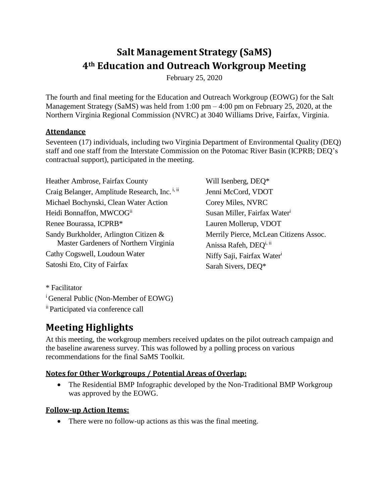# **Salt Management Strategy (SaMS) 4th Education and Outreach Workgroup Meeting**

February 25, 2020

The fourth and final meeting for the Education and Outreach Workgroup (EOWG) for the Salt Management Strategy (SaMS) was held from 1:00 pm – 4:00 pm on February 25, 2020, at the Northern Virginia Regional Commission (NVRC) at 3040 Williams Drive, Fairfax, Virginia.

## **Attendance**

Seventeen (17) individuals, including two Virginia Department of Environmental Quality (DEQ) staff and one staff from the Interstate Commission on the Potomac River Basin (ICPRB; DEQ's contractual support), participated in the meeting.

Heather Ambrose, Fairfax County Craig Belanger, Amplitude Research, Inc.<sup>i, ii</sup> Michael Bochynski, Clean Water Action Heidi Bonnaffon, MWCOG<sup>ii</sup> Renee Bourassa, ICPRB\* Sandy Burkholder, Arlington Citizen & Master Gardeners of Northern Virginia Cathy Cogswell, Loudoun Water Satoshi Eto, City of Fairfax

Will Isenberg, DEQ\* Jenni McCord, VDOT Corey Miles, NVRC Susan Miller, Fairfax Water<sup>i</sup> Lauren Mollerup, VDOT Merrily Pierce, McLean Citizens Assoc. Anissa Rafeh, DEO<sup>i, ii</sup> Niffy Saji, Fairfax Water<sup>i</sup> Sarah Sivers, DEQ\*

\* Facilitator

<sup>i</sup> General Public (Non-Member of EOWG)

ⅰⅰ Participated via conference call

## **Meeting Highlights**

At this meeting, the workgroup members received updates on the pilot outreach campaign and the baseline awareness survey. This was followed by a polling process on various recommendations for the final SaMS Toolkit.

## **Notes for Other Workgroups / Potential Areas of Overlap:**

• The Residential BMP Infographic developed by the Non-Traditional BMP Workgroup was approved by the EOWG.

## **Follow-up Action Items:**

• There were no follow-up actions as this was the final meeting.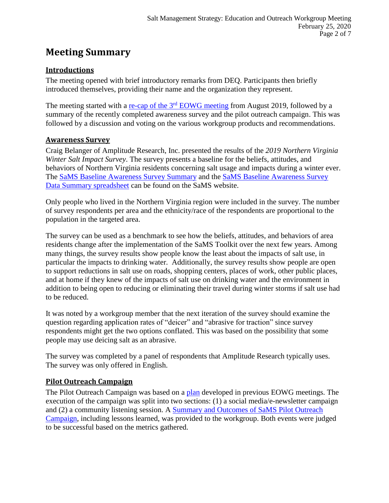## **Meeting Summary**

## **Introductions**

The meeting opened with brief introductory remarks from DEQ. Participants then briefly introduced themselves, providing their name and the organization they represent.

The meeting started with a re-cap of the 3<sup>rd</sup> [EOWG meeting](https://www.deq.virginia.gov/Portals/0/DEQ/Water/TMDL/SaMS/MeetingMaterials/EandOwg/Meeting4/SaMS_EOWG_Mtg_ReCap_of_3rd%20Mtg_2020225.pdf) from August 2019, followed by a summary of the recently completed awareness survey and the pilot outreach campaign. This was followed by a discussion and voting on the various workgroup products and recommendations.

## **Awareness Survey**

Craig Belanger of Amplitude Research, Inc. presented the results of the *2019 Northern Virginia Winter Salt Impact Survey*. The survey presents a baseline for the beliefs, attitudes, and behaviors of Northern Virginia residents concerning salt usage and impacts during a winter ever. The [SaMS Baseline Awareness Survey Summary](https://www.deq.virginia.gov/Portals/0/DEQ/Water/TMDL/SaMS/MeetingMaterials/EandOwg/Meeting4/SaMS_BaselineAwarenessSurveySummary.pdf) and the [SaMS Baseline Awareness Survey](https://www.deq.virginia.gov/Portals/0/DEQ/Water/TMDL/SaMS/MeetingMaterials/EandOwg/Meeting4/SaMS_AwarenessSurveyCrosstabs_NVSaltImpact010619.xlsx)  [Data Summary spreadsheet](https://www.deq.virginia.gov/Portals/0/DEQ/Water/TMDL/SaMS/MeetingMaterials/EandOwg/Meeting4/SaMS_AwarenessSurveyCrosstabs_NVSaltImpact010619.xlsx) can be found on the SaMS website.

Only people who lived in the Northern Virginia region were included in the survey. The number of survey respondents per area and the ethnicity/race of the respondents are proportional to the population in the targeted area.

The survey can be used as a benchmark to see how the beliefs, attitudes, and behaviors of area residents change after the implementation of the SaMS Toolkit over the next few years. Among many things, the survey results show people know the least about the impacts of salt use, in particular the impacts to drinking water. Additionally, the survey results show people are open to support reductions in salt use on roads, shopping centers, places of work, other public places, and at home if they knew of the impacts of salt use on drinking water and the environment in addition to being open to reducing or eliminating their travel during winter storms if salt use had to be reduced.

It was noted by a workgroup member that the next iteration of the survey should examine the question regarding application rates of "deicer" and "abrasive for traction" since survey respondents might get the two options conflated. This was based on the possibility that some people may use deicing salt as an abrasive.

The survey was completed by a panel of respondents that Amplitude Research typically uses. The survey was only offered in English.

## **Pilot Outreach Campaign**

The Pilot Outreach Campaign was based on a [plan](https://www.deq.virginia.gov/Portals/0/DEQ/Water/TMDL/SaMS/MeetingMaterials/EandOwg/Meeting4/SaMS_EOWG_Pilot_Outreach_Plan_201909.pdf) developed in previous EOWG meetings. The execution of the campaign was split into two sections: (1) a social media/e-newsletter campaign and (2) a community listening session. A [Summary and Outcomes of SaMS Pilot Outreach](https://www.deq.virginia.gov/Portals/0/DEQ/Water/TMDL/SaMS/MeetingMaterials/EandOwg/Meeting4/SaMS_EOWG_PilotCampaignSummaryandOutcomes.pdf)  [Campaign,](https://www.deq.virginia.gov/Portals/0/DEQ/Water/TMDL/SaMS/MeetingMaterials/EandOwg/Meeting4/SaMS_EOWG_PilotCampaignSummaryandOutcomes.pdf) including lessons learned, was provided to the workgroup. Both events were judged to be successful based on the metrics gathered.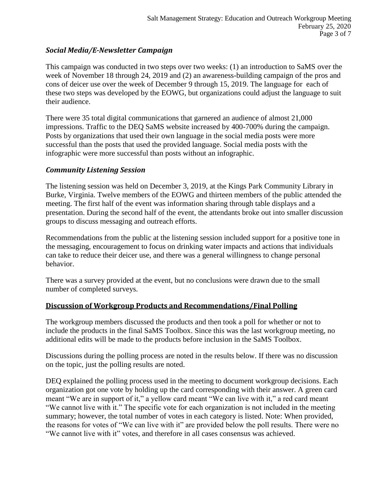### *Social Media/E-Newsletter Campaign*

This campaign was conducted in two steps over two weeks: (1) an introduction to SaMS over the week of November 18 through 24, 2019 and (2) an awareness-building campaign of the pros and cons of deicer use over the week of December 9 through 15, 2019. The language for each of these two steps was developed by the EOWG, but organizations could adjust the language to suit their audience.

There were 35 total digital communications that garnered an audience of almost 21,000 impressions. Traffic to the DEQ SaMS website increased by 400-700% during the campaign. Posts by organizations that used their own language in the social media posts were more successful than the posts that used the provided language. Social media posts with the infographic were more successful than posts without an infographic.

#### *Community Listening Session*

The listening session was held on December 3, 2019, at the Kings Park Community Library in Burke, Virginia. Twelve members of the EOWG and thirteen members of the public attended the meeting. The first half of the event was information sharing through table displays and a presentation. During the second half of the event, the attendants broke out into smaller discussion groups to discuss messaging and outreach efforts.

Recommendations from the public at the listening session included support for a positive tone in the messaging, encouragement to focus on drinking water impacts and actions that individuals can take to reduce their deicer use, and there was a general willingness to change personal behavior.

There was a survey provided at the event, but no conclusions were drawn due to the small number of completed surveys.

#### **Discussion of Workgroup Products and Recommendations/Final Polling**

The workgroup members discussed the products and then took a poll for whether or not to include the products in the final SaMS Toolbox. Since this was the last workgroup meeting, no additional edits will be made to the products before inclusion in the SaMS Toolbox.

Discussions during the polling process are noted in the results below. If there was no discussion on the topic, just the polling results are noted.

DEQ explained the polling process used in the meeting to document workgroup decisions. Each organization got one vote by holding up the card corresponding with their answer. A green card meant "We are in support of it," a yellow card meant "We can live with it," a red card meant "We cannot live with it." The specific vote for each organization is not included in the meeting summary; however, the total number of votes in each category is listed. Note: When provided, the reasons for votes of "We can live with it" are provided below the poll results. There were no "We cannot live with it" votes, and therefore in all cases consensus was achieved.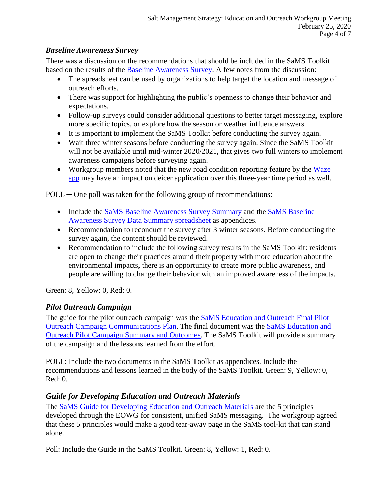### *Baseline Awareness Survey*

There was a discussion on the recommendations that should be included in the SaMS Toolkit based on the results of the [Baseline Awareness Survey.](https://www.deq.virginia.gov/Portals/0/DEQ/Water/TMDL/SaMS/MeetingMaterials/EandOwg/Meeting4/SaMS_BaselineAwarenessSurveySummary.pdf) A few notes from the discussion:

- The spreadsheet can be used by organizations to help target the location and message of outreach efforts.
- There was support for highlighting the public's openness to change their behavior and expectations.
- Follow-up surveys could consider additional questions to better target messaging, explore more specific topics, or explore how the season or weather influence answers.
- It is important to implement the SaMS Toolkit before conducting the survey again.
- Wait three winter seasons before conducting the survey again. Since the SaMS Toolkit will not be available until mid-winter 2020/2021, that gives two full winters to implement awareness campaigns before surveying again.
- Workgroup members noted that the new road condition reporting feature by the Waze [app](https://www.virginiadot.org/newsroom/statewide/2019/waze-launches-snow-warning-feature-ahead-of-winter-season12-11-2019.asp) may have an impact on deicer application over this three-year time period as well.

 $POLL$  — One poll was taken for the following group of recommendations:

- Include the [SaMS Baseline Awareness Survey Summary](https://www.deq.virginia.gov/Portals/0/DEQ/Water/TMDL/SaMS/MeetingMaterials/EandOwg/Meeting4/SaMS_BaselineAwarenessSurveySummary.pdf) and the SaMS Baseline [Awareness Survey Data Summary spreadsheet](https://www.deq.virginia.gov/Portals/0/DEQ/Water/TMDL/SaMS/MeetingMaterials/EandOwg/Meeting4/SaMS_AwarenessSurveyCrosstabs_NVSaltImpact010619.xlsx) as appendices.
- Recommendation to reconduct the survey after 3 winter seasons. Before conducting the survey again, the content should be reviewed.
- Recommendation to include the following survey results in the SaMS Toolkit: residents are open to change their practices around their property with more education about the environmental impacts, there is an opportunity to create more public awareness, and people are willing to change their behavior with an improved awareness of the impacts.

Green: 8, Yellow: 0, Red: 0.

## *Pilot Outreach Campaign*

The guide for the pilot outreach campaign was the [SaMS Education and Outreach Final Pilot](https://www.deq.virginia.gov/Portals/0/DEQ/Water/TMDL/SaMS/MeetingMaterials/EandOwg/Meeting4/SaMS_EOWG_Pilot_Outreach_Plan_201909.pdf)  [Outreach Campaign Communications Plan.](https://www.deq.virginia.gov/Portals/0/DEQ/Water/TMDL/SaMS/MeetingMaterials/EandOwg/Meeting4/SaMS_EOWG_Pilot_Outreach_Plan_201909.pdf) The final document was the [SaMS Education and](https://www.deq.virginia.gov/Portals/0/DEQ/Water/TMDL/SaMS/MeetingMaterials/EandOwg/Meeting4/SaMS_EOWG_PilotCampaignSummaryandOutcomes.pdf)  Outreach Pilot [Campaign Summary and Outcomes.](https://www.deq.virginia.gov/Portals/0/DEQ/Water/TMDL/SaMS/MeetingMaterials/EandOwg/Meeting4/SaMS_EOWG_PilotCampaignSummaryandOutcomes.pdf) The SaMS Toolkit will provide a summary of the campaign and the lessons learned from the effort.

POLL: Include the two documents in the SaMS Toolkit as appendices. Include the recommendations and lessons learned in the body of the SaMS Toolkit. Green: 9, Yellow: 0, Red: 0.

## *Guide for Developing Education and Outreach Materials*

The [SaMS Guide for Developing Education and Outreach Materials](https://www.deq.virginia.gov/Portals/0/DEQ/Water/TMDL/SaMS/MeetingMaterials/EandOwg/Meeting4/SaMS_EOWG_Development_Principles_2020025.pdf) are the 5 principles developed through the EOWG for consistent, unified SaMS messaging. The workgroup agreed that these 5 principles would make a good tear-away page in the SaMS tool-kit that can stand alone.

Poll: Include the Guide in the SaMS Toolkit. Green: 8, Yellow: 1, Red: 0.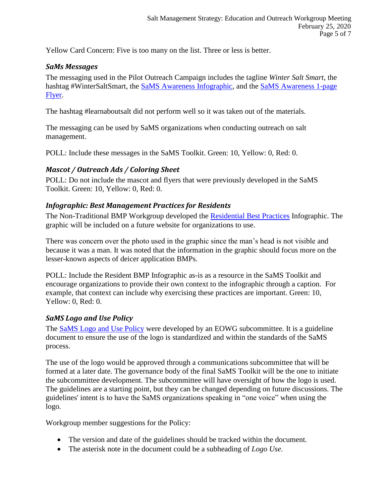Yellow Card Concern: Five is too many on the list. Three or less is better.

#### *SaMs Messages*

The messaging used in the Pilot Outreach Campaign includes the tagline *Winter Salt Smart*, the hashtag #WinterSaltSmart, the [SaMS Awareness Infographic,](https://www.deq.virginia.gov/Portals/0/DEQ/Water/TMDL/SaMS/MeetingMaterials/EandOwg/Meeting4/SaMS_Awareness_Infographics.zip) and the [SaMS Awareness 1-page](https://www.deq.virginia.gov/Portals/0/DEQ/Water/TMDL/SaMS/SaMS_1pg_flyer_201910.pdf)  [Flyer.](https://www.deq.virginia.gov/Portals/0/DEQ/Water/TMDL/SaMS/SaMS_1pg_flyer_201910.pdf)

The hashtag #learnaboutsalt did not perform well so it was taken out of the materials.

The messaging can be used by SaMS organizations when conducting outreach on salt management.

POLL: Include these messages in the SaMS Toolkit. Green: 10, Yellow: 0, Red: 0.

### *Mascot / Outreach Ads / Coloring Sheet*

POLL: Do not include the mascot and flyers that were previously developed in the SaMS Toolkit. Green: 10, Yellow: 0, Red: 0.

#### *Infographic: Best Management Practices for Residents*

The Non-Traditional BMP Workgroup developed the [Residential Best Practices](https://www.deq.virginia.gov/Portals/0/DEQ/Water/TMDL/SaMS/MeetingMaterials/EandOwg/Meeting4/ResidentsInfo_Infographic.zip) Infographic. The graphic will be included on a future website for organizations to use.

There was concern over the photo used in the graphic since the man's head is not visible and because it was a man. It was noted that the information in the graphic should focus more on the lesser-known aspects of deicer application BMPs.

POLL: Include the Resident BMP Infographic as-is as a resource in the SaMS Toolkit and encourage organizations to provide their own context to the infographic through a caption. For example, that context can include why exercising these practices are important. Green: 10, Yellow: 0, Red: 0.

#### *SaMS Logo and Use Policy*

The [SaMS Logo and Use Policy](https://www.deq.virginia.gov/Portals/0/DEQ/Water/TMDL/SaMS/MeetingMaterials/EandOwg/Meeting4/SaMS_EOWG_Logo_Use_Guidelines_2020025.docx) were developed by an EOWG subcommittee. It is a guideline document to ensure the use of the logo is standardized and within the standards of the SaMS process.

The use of the logo would be approved through a communications subcommittee that will be formed at a later date. The governance body of the final SaMS Toolkit will be the one to initiate the subcommittee development. The subcommittee will have oversight of how the logo is used. The guidelines are a starting point, but they can be changed depending on future discussions. The guidelines' intent is to have the SaMS organizations speaking in "one voice" when using the logo.

Workgroup member suggestions for the Policy:

- The version and date of the guidelines should be tracked within the document.
- The asterisk note in the document could be a subheading of *Logo Use*.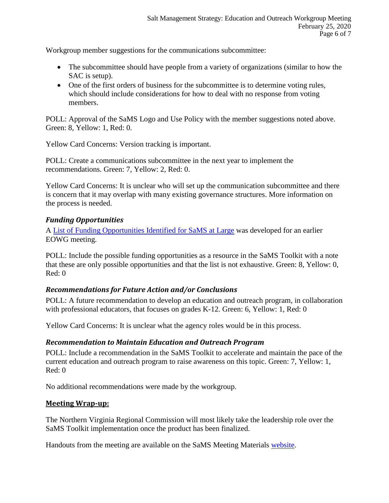Workgroup member suggestions for the communications subcommittee:

- The subcommittee should have people from a variety of organizations (similar to how the SAC is setup).
- One of the first orders of business for the subcommittee is to determine voting rules, which should include considerations for how to deal with no response from voting members.

POLL: Approval of the SaMS Logo and Use Policy with the member suggestions noted above. Green: 8, Yellow: 1, Red: 0.

Yellow Card Concerns: Version tracking is important.

POLL: Create a communications subcommittee in the next year to implement the recommendations. Green: 7, Yellow: 2, Red: 0.

Yellow Card Concerns: It is unclear who will set up the communication subcommittee and there is concern that it may overlap with many existing governance structures. More information on the process is needed.

### *Funding Opportunities*

A [List of Funding Opportunities Identified for SaMS at Large](https://www.deq.virginia.gov/Portals/0/DEQ/Water/TMDL/SaMS/MeetingMaterials/EandOwg/Meeting4/SaMS_IP_Funding_Opportunities.pdf) was developed for an earlier EOWG meeting.

POLL: Include the possible funding opportunities as a resource in the SaMS Toolkit with a note that these are only possible opportunities and that the list is not exhaustive. Green: 8, Yellow: 0, Red: 0

## *Recommendations for Future Action and/or Conclusions*

POLL: A future recommendation to develop an education and outreach program, in collaboration with professional educators, that focuses on grades K-12. Green: 6, Yellow: 1, Red: 0

Yellow Card Concerns: It is unclear what the agency roles would be in this process.

#### *Recommendation to Maintain Education and Outreach Program*

POLL: Include a recommendation in the SaMS Toolkit to accelerate and maintain the pace of the current education and outreach program to raise awareness on this topic. Green: 7, Yellow: 1, Red: 0

No additional recommendations were made by the workgroup.

#### **Meeting Wrap-up:**

The Northern Virginia Regional Commission will most likely take the leadership role over the SaMS Toolkit implementation once the product has been finalized.

Handouts from the meeting are available on the SaMS Meeting Materials [website.](https://www.deq.virginia.gov/SaMS/MeetingMaterials.aspx)